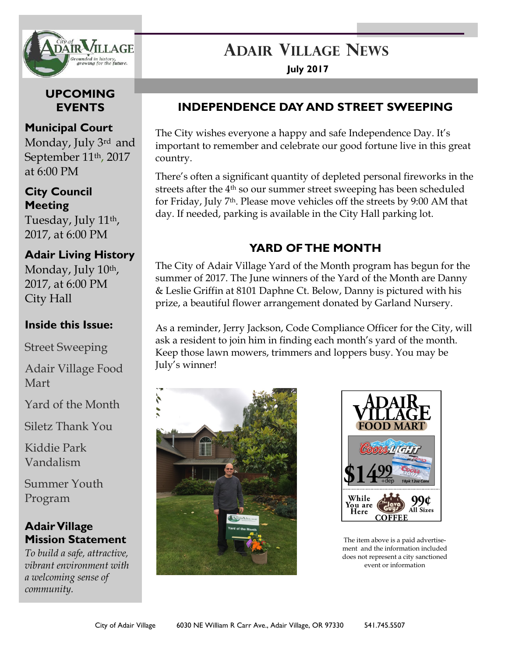

**UPCOMING EVENTS** 

## **Municipal Court**

Monday, July 3rd and September 11th, 2017 at 6:00 PM

### **City Council Meeting**

Tuesday, July 11th, 2017, at 6:00 PM

## **Adair Living History**

Monday, July 10<sup>th</sup>, 2017, at 6:00 PM City Hall

## **Inside this Issue:**

Street Sweeping

Adair Village Food Mart

Yard of the Month

Siletz Thank You

Kiddie Park Vandalism

Summer Youth Program

# **Adair Village Mission Statement**

*To build a safe, attractive, vibrant environment with a welcoming sense of community.*

# **ADAIR VILLAGE NEWS**

**July 2017**

## **INDEPENDENCE DAY AND STREET SWEEPING**

The City wishes everyone a happy and safe Independence Day. It's important to remember and celebrate our good fortune live in this great country.

There's often a significant quantity of depleted personal fireworks in the streets after the 4th so our summer street sweeping has been scheduled for Friday, July 7th. Please move vehicles off the streets by 9:00 AM that day. If needed, parking is available in the City Hall parking lot.

# **YARD OF THE MONTH**

The City of Adair Village Yard of the Month program has begun for the summer of 2017. The June winners of the Yard of the Month are Danny & Leslie Griffin at 8101 Daphne Ct. Below, Danny is pictured with his prize, a beautiful flower arrangement donated by Garland Nursery.

As a reminder, Jerry Jackson, Code Compliance Officer for the City, will ask a resident to join him in finding each month's yard of the month. Keep those lawn mowers, trimmers and loppers busy. You may be July's winner!





The item above is a paid advertisement and the information included does not represent a city sanctioned event or information